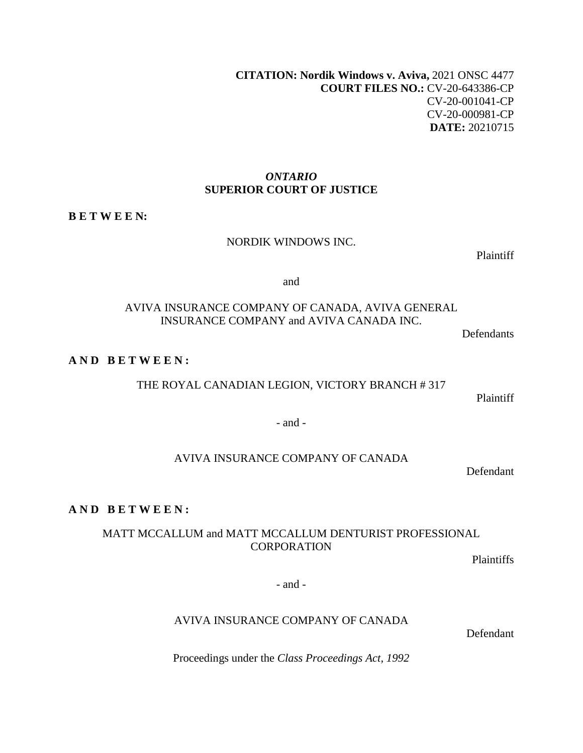**[CITATION](http://intra.judicialsecurity.jus.gov.on.ca/NeutralCitation/): Nordik Windows v. Aviva,** 2021 ONSC 4477 **COURT FILES NO.:** CV-20-643386-CP CV-20-001041-CP CV-20-000981-CP **DATE:** 20210715

### *ONTARIO*  **SUPERIOR COURT OF JUSTICE**

#### **B E T W E E N:**

#### NORDIK WINDOWS INC.

Plaintiff

and

### AVIVA INSURANCE COMPANY OF CANADA, AVIVA GENERAL INSURANCE COMPANY and AVIVA CANADA INC.

Defendants

#### **A N D B E T W E E N :**

THE ROYAL CANADIAN LEGION, VICTORY BRANCH # 317

Plaintiff

- and -

#### AVIVA INSURANCE COMPANY OF CANADA

Defendant

# **A N D B E T W E E N :**

### MATT MCCALLUM and MATT MCCALLUM DENTURIST PROFESSIONAL **CORPORATION**

Plaintiffs

- and -

#### AVIVA INSURANCE COMPANY OF CANADA

Defendant

Proceedings under the *Class Proceedings Act, 1992*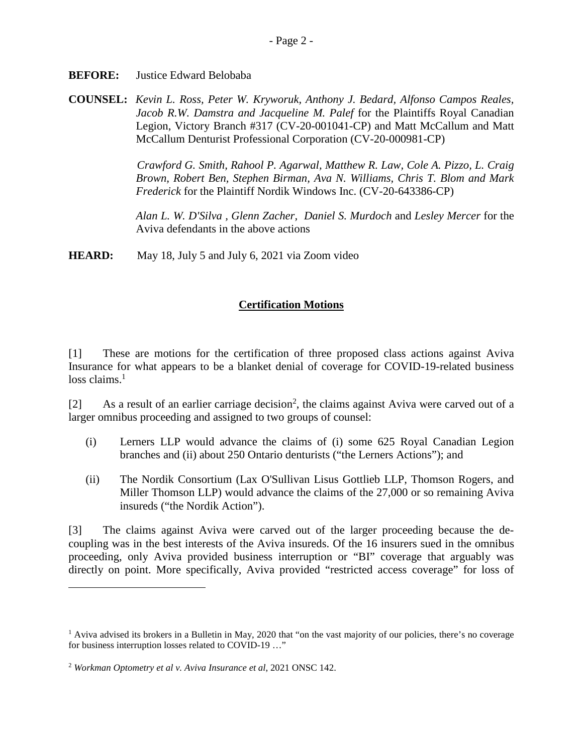**BEFORE:** Justice Edward Belobaba

**COUNSEL:** *Kevin L. Ross, Peter W. Kryworuk, Anthony J. Bedard, Alfonso Campos Reales, Jacob R.W. Damstra and Jacqueline M. Palef* for the Plaintiffs Royal Canadian Legion, Victory Branch #317 (CV-20-001041-CP) and Matt McCallum and Matt McCallum Denturist Professional Corporation (CV-20-000981-CP)

> *Crawford G. Smith, Rahool P. Agarwal, Matthew R. Law, Cole A. Pizzo, L. Craig Brown, Robert Ben, Stephen Birman, Ava N. Williams, Chris T. Blom and Mark Frederick* for the Plaintiff Nordik Windows Inc. (CV-20-643386-CP)

> *Alan L. W. D'Silva , Glenn Zacher, Daniel S. Murdoch* and *Lesley Mercer* for the Aviva defendants in the above actions

**HEARD:** May 18, July 5 and July 6, 2021 via Zoom video

# **Certification Motions**

[1] These are motions for the certification of three proposed class actions against Aviva Insurance for what appears to be a blanket denial of coverage for COVID-19-related business  $loss$  claims.<sup>[1](#page-1-0)</sup>

[[2](#page-1-1)] As a result of an earlier carriage decision<sup>2</sup>, the claims against Aviva were carved out of a larger omnibus proceeding and assigned to two groups of counsel:

- (i) Lerners LLP would advance the claims of (i) some 625 Royal Canadian Legion branches and (ii) about 250 Ontario denturists ("the Lerners Actions"); and
- (ii) The Nordik Consortium (Lax O'Sullivan Lisus Gottlieb LLP, Thomson Rogers, and Miller Thomson LLP) would advance the claims of the 27,000 or so remaining Aviva insureds ("the Nordik Action").

[3] The claims against Aviva were carved out of the larger proceeding because the decoupling was in the best interests of the Aviva insureds. Of the 16 insurers sued in the omnibus proceeding, only Aviva provided business interruption or "BI" coverage that arguably was directly on point. More specifically, Aviva provided "restricted access coverage" for loss of

<span id="page-1-0"></span><sup>&</sup>lt;sup>1</sup> Aviva advised its brokers in a Bulletin in May, 2020 that "on the vast majority of our policies, there's no coverage for business interruption losses related to COVID-19 …"

<span id="page-1-1"></span><sup>2</sup> *Workman Optometry et al v. Aviva Insurance et al*, 2021 ONSC 142.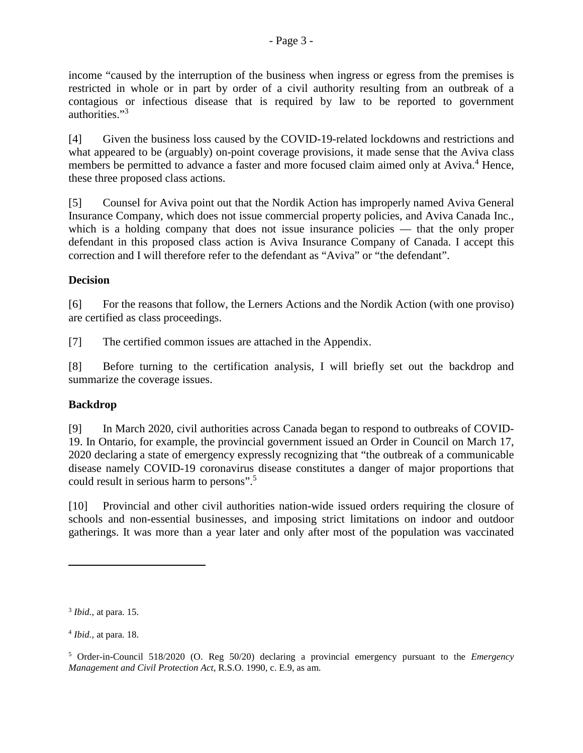income "caused by the interruption of the business when ingress or egress from the premises is restricted in whole or in part by order of a civil authority resulting from an outbreak of a contagious or infectious disease that is required by law to be reported to government authorities."[3](#page-2-0)

[4] Given the business loss caused by the COVID-19-related lockdowns and restrictions and what appeared to be (arguably) on-point coverage provisions, it made sense that the Aviva class members be permitted to advance a faster and more focused claim aimed only at Aviva.<sup>[4](#page-2-1)</sup> Hence, these three proposed class actions.

[5] Counsel for Aviva point out that the Nordik Action has improperly named Aviva General Insurance Company, which does not issue commercial property policies, and Aviva Canada Inc., which is a holding company that does not issue insurance policies — that the only proper defendant in this proposed class action is Aviva Insurance Company of Canada. I accept this correction and I will therefore refer to the defendant as "Aviva" or "the defendant".

## **Decision**

[6] For the reasons that follow, the Lerners Actions and the Nordik Action (with one proviso) are certified as class proceedings.

[7] The certified common issues are attached in the Appendix.

[8] Before turning to the certification analysis, I will briefly set out the backdrop and summarize the coverage issues.

## **Backdrop**

[9] In March 2020, civil authorities across Canada began to respond to outbreaks of COVID-19. In Ontario, for example, the provincial government issued an Order in Council on March 17, 2020 declaring a state of emergency expressly recognizing that "the outbreak of a communicable disease namely COVID-19 coronavirus disease constitutes a danger of major proportions that could result in serious harm to persons".[5](#page-2-2)

[10] Provincial and other civil authorities nation-wide issued orders requiring the closure of schools and non-essential businesses, and imposing strict limitations on indoor and outdoor gatherings. It was more than a year later and only after most of the population was vaccinated

<span id="page-2-0"></span><sup>3</sup> *Ibid.,* at para. 15.

<span id="page-2-1"></span><sup>4</sup> *Ibid.,* at para. 18.

<span id="page-2-2"></span><sup>5</sup> Order-in-Council 518/2020 (O. Reg 50/20) declaring a provincial emergency pursuant to the *Emergency Management and Civil Protection Act*, R.S.O. 1990, c. E.9, as am.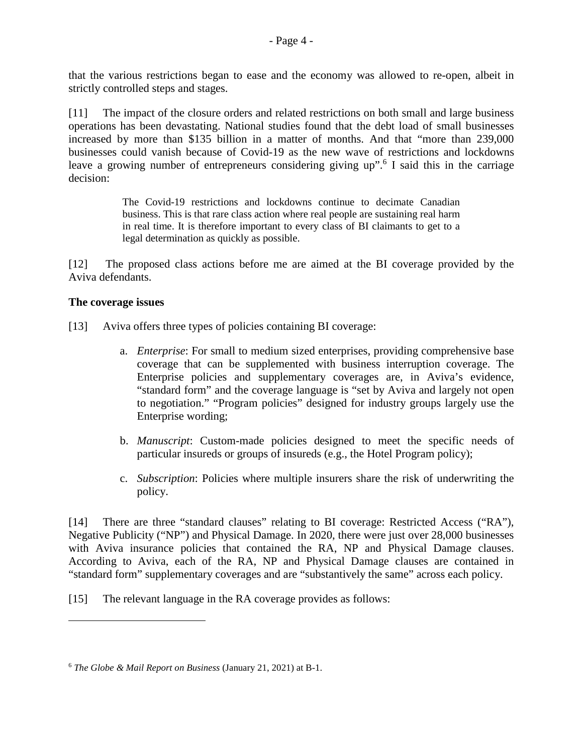that the various restrictions began to ease and the economy was allowed to re-open, albeit in strictly controlled steps and stages.

[11] The impact of the closure orders and related restrictions on both small and large business operations has been devastating. National studies found that the debt load of small businesses increased by more than \$135 billion in a matter of months. And that "more than 239,000 businesses could vanish because of Covid-19 as the new wave of restrictions and lockdowns leave a growing number of entrepreneurs considering giving up".<sup>[6](#page-3-0)</sup> I said this in the carriage decision:

> The Covid-19 restrictions and lockdowns continue to decimate Canadian business. This is that rare class action where real people are sustaining real harm in real time. It is therefore important to every class of BI claimants to get to a legal determination as quickly as possible.

[12] The proposed class actions before me are aimed at the BI coverage provided by the Aviva defendants.

### **The coverage issues**

[13] Aviva offers three types of policies containing BI coverage:

- a. *Enterprise*: For small to medium sized enterprises, providing comprehensive base coverage that can be supplemented with business interruption coverage. The Enterprise policies and supplementary coverages are, in Aviva's evidence, "standard form" and the coverage language is "set by Aviva and largely not open to negotiation." "Program policies" designed for industry groups largely use the Enterprise wording;
- b. *Manuscript*: Custom-made policies designed to meet the specific needs of particular insureds or groups of insureds (e.g., the Hotel Program policy);
- c. *Subscription*: Policies where multiple insurers share the risk of underwriting the policy.

[14] There are three "standard clauses" relating to BI coverage: Restricted Access ("RA"), Negative Publicity ("NP") and Physical Damage. In 2020, there were just over 28,000 businesses with Aviva insurance policies that contained the RA, NP and Physical Damage clauses. According to Aviva, each of the RA, NP and Physical Damage clauses are contained in "standard form" supplementary coverages and are "substantively the same" across each policy.

[15] The relevant language in the RA coverage provides as follows:

<span id="page-3-0"></span><sup>6</sup> *The Globe & Mail Report on Business* (January 21, 2021) at B-1.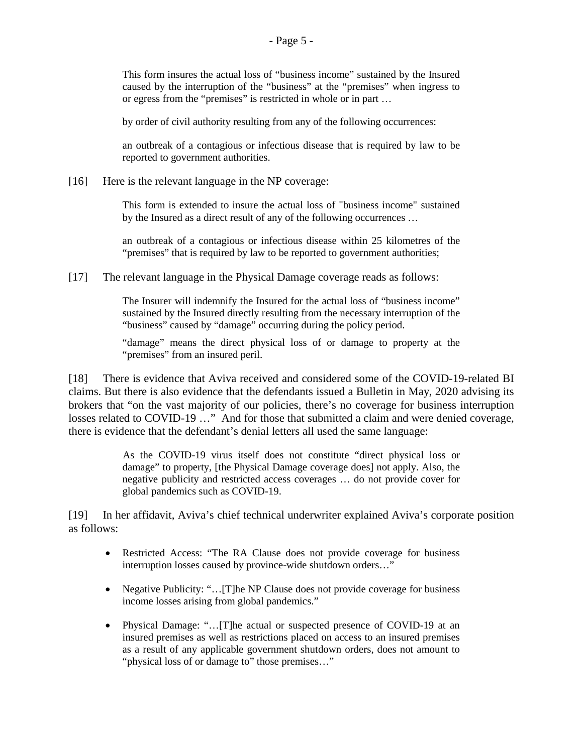This form insures the actual loss of "business income" sustained by the Insured caused by the interruption of the "business" at the "premises" when ingress to or egress from the "premises" is restricted in whole or in part …

by order of civil authority resulting from any of the following occurrences:

an outbreak of a contagious or infectious disease that is required by law to be reported to government authorities.

[16] Here is the relevant language in the NP coverage:

This form is extended to insure the actual loss of "business income" sustained by the Insured as a direct result of any of the following occurrences …

an outbreak of a contagious or infectious disease within 25 kilometres of the "premises" that is required by law to be reported to government authorities;

[17] The relevant language in the Physical Damage coverage reads as follows:

The Insurer will indemnify the Insured for the actual loss of "business income" sustained by the Insured directly resulting from the necessary interruption of the "business" caused by "damage" occurring during the policy period.

"damage" means the direct physical loss of or damage to property at the "premises" from an insured peril.

[18] There is evidence that Aviva received and considered some of the COVID-19-related BI claims. But there is also evidence that the defendants issued a Bulletin in May, 2020 advising its brokers that "on the vast majority of our policies, there's no coverage for business interruption losses related to COVID-19 …" And for those that submitted a claim and were denied coverage, there is evidence that the defendant's denial letters all used the same language:

> As the COVID-19 virus itself does not constitute "direct physical loss or damage" to property, [the Physical Damage coverage does] not apply. Also, the negative publicity and restricted access coverages … do not provide cover for global pandemics such as COVID-19.

[19] In her affidavit, Aviva's chief technical underwriter explained Aviva's corporate position as follows:

- Restricted Access: "The RA Clause does not provide coverage for business interruption losses caused by province-wide shutdown orders…"
- Negative Publicity: "...[T]he NP Clause does not provide coverage for business income losses arising from global pandemics."
- Physical Damage: "…[T]he actual or suspected presence of COVID-19 at an insured premises as well as restrictions placed on access to an insured premises as a result of any applicable government shutdown orders, does not amount to "physical loss of or damage to" those premises…"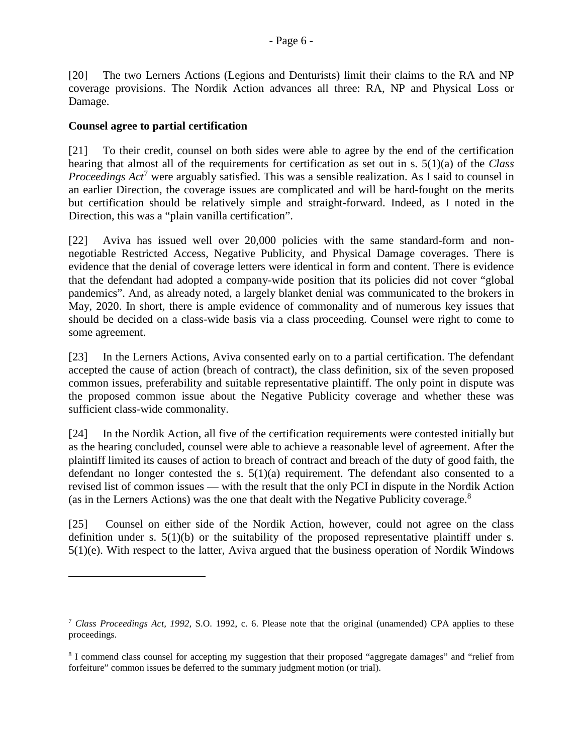[20] The two Lerners Actions (Legions and Denturists) limit their claims to the RA and NP coverage provisions. The Nordik Action advances all three: RA, NP and Physical Loss or Damage.

### **Counsel agree to partial certification**

[21] To their credit, counsel on both sides were able to agree by the end of the certification hearing that almost all of the requirements for certification as set out in s. 5(1)(a) of the *Class*  ProceedingsAct<sup>7</sup> were arguably satisfied. This was a sensible realization. As I said to counsel in an earlier Direction, the coverage issues are complicated and will be hard-fought on the merits but certification should be relatively simple and straight-forward. Indeed, as I noted in the Direction, this was a "plain vanilla certification".

[22] Aviva has issued well over 20,000 policies with the same standard-form and nonnegotiable Restricted Access, Negative Publicity, and Physical Damage coverages. There is evidence that the denial of coverage letters were identical in form and content. There is evidence that the defendant had adopted a company-wide position that its policies did not cover "global pandemics". And, as already noted, a largely blanket denial was communicated to the brokers in May, 2020. In short, there is ample evidence of commonality and of numerous key issues that should be decided on a class-wide basis via a class proceeding. Counsel were right to come to some agreement.

[23] In the Lerners Actions, Aviva consented early on to a partial certification. The defendant accepted the cause of action (breach of contract), the class definition, six of the seven proposed common issues, preferability and suitable representative plaintiff. The only point in dispute was the proposed common issue about the Negative Publicity coverage and whether these was sufficient class-wide commonality.

[24] In the Nordik Action, all five of the certification requirements were contested initially but as the hearing concluded, counsel were able to achieve a reasonable level of agreement. After the plaintiff limited its causes of action to breach of contract and breach of the duty of good faith, the defendant no longer contested the s.  $5(1)(a)$  requirement. The defendant also consented to a revised list of common issues — with the result that the only PCI in dispute in the Nordik Action (as in the Lerners Actions) was the one that dealt with the Negative Publicity coverage.<sup>[8](#page-5-1)</sup>

[25] Counsel on either side of the Nordik Action, however, could not agree on the class definition under s.  $5(1)(b)$  or the suitability of the proposed representative plaintiff under s. 5(1)(e). With respect to the latter, Aviva argued that the business operation of Nordik Windows

<span id="page-5-0"></span><sup>7</sup> *Class Proceedings Act, 1992,* S.O. 1992, c. 6. Please note that the original (unamended) CPA applies to these proceedings.

<span id="page-5-1"></span><sup>&</sup>lt;sup>8</sup> I commend class counsel for accepting my suggestion that their proposed "aggregate damages" and "relief from forfeiture" common issues be deferred to the summary judgment motion (or trial).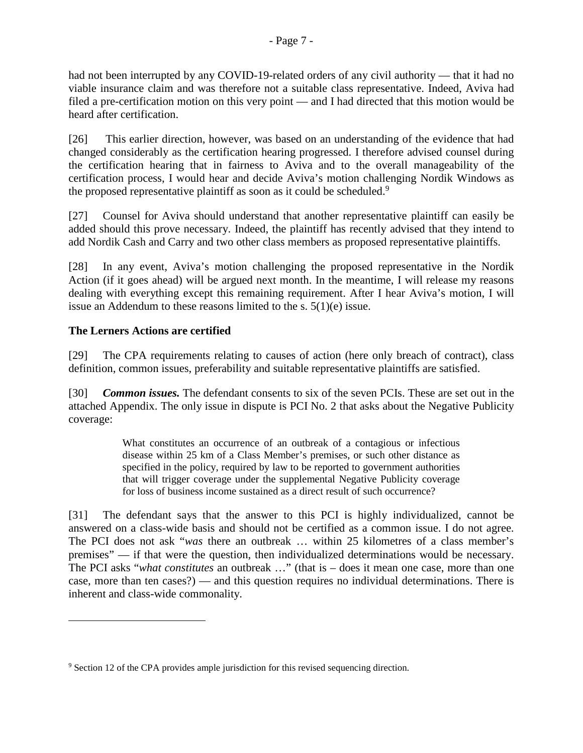had not been interrupted by any COVID-19-related orders of any civil authority — that it had no viable insurance claim and was therefore not a suitable class representative. Indeed, Aviva had filed a pre-certification motion on this very point — and I had directed that this motion would be heard after certification.

[26] This earlier direction, however, was based on an understanding of the evidence that had changed considerably as the certification hearing progressed. I therefore advised counsel during the certification hearing that in fairness to Aviva and to the overall manageability of the certification process, I would hear and decide Aviva's motion challenging Nordik Windows as the proposed representative plaintiff as soon as it could be scheduled.<sup>[9](#page-6-0)</sup>

[27] Counsel for Aviva should understand that another representative plaintiff can easily be added should this prove necessary. Indeed, the plaintiff has recently advised that they intend to add Nordik Cash and Carry and two other class members as proposed representative plaintiffs.

[28] In any event, Aviva's motion challenging the proposed representative in the Nordik Action (if it goes ahead) will be argued next month. In the meantime, I will release my reasons dealing with everything except this remaining requirement. After I hear Aviva's motion, I will issue an Addendum to these reasons limited to the s. 5(1)(e) issue.

# **The Lerners Actions are certified**

[29] The CPA requirements relating to causes of action (here only breach of contract), class definition, common issues, preferability and suitable representative plaintiffs are satisfied.

[30] *Common issues.* The defendant consents to six of the seven PCIs. These are set out in the attached Appendix. The only issue in dispute is PCI No. 2 that asks about the Negative Publicity coverage:

> What constitutes an occurrence of an outbreak of a contagious or infectious disease within 25 km of a Class Member's premises, or such other distance as specified in the policy, required by law to be reported to government authorities that will trigger coverage under the supplemental Negative Publicity coverage for loss of business income sustained as a direct result of such occurrence?

[31] The defendant says that the answer to this PCI is highly individualized, cannot be answered on a class-wide basis and should not be certified as a common issue. I do not agree. The PCI does not ask "*was* there an outbreak … within 25 kilometres of a class member's premises" — if that were the question, then individualized determinations would be necessary. The PCI asks "*what constitutes* an outbreak …" (that is – does it mean one case, more than one case, more than ten cases?) — and this question requires no individual determinations. There is inherent and class-wide commonality.

<span id="page-6-0"></span><sup>&</sup>lt;sup>9</sup> Section 12 of the CPA provides ample jurisdiction for this revised sequencing direction.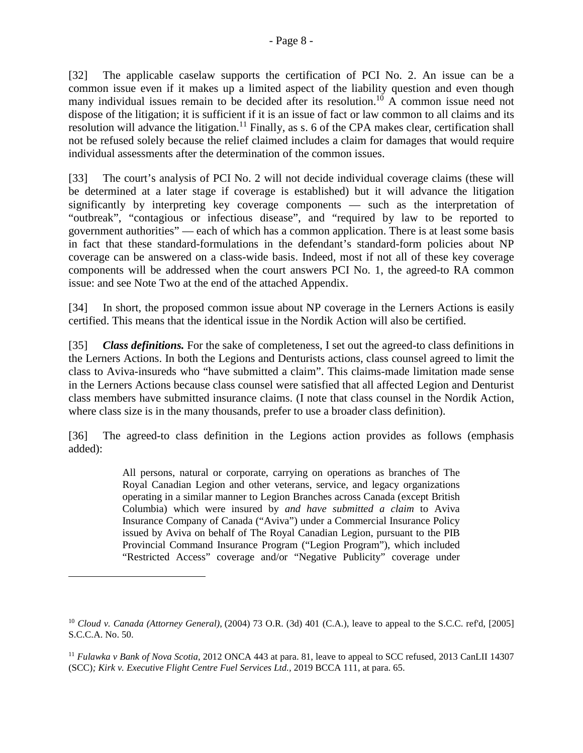[32] The applicable caselaw supports the certification of PCI No. 2. An issue can be a common issue even if it makes up a limited aspect of the liability question and even though many individual issues remain to be decided after its resolution.<sup>[10](#page-7-0)</sup> A common issue need not dispose of the litigation; it is sufficient if it is an issue of fact or law common to all claims and its resolution will advance the litigation.<sup>[11](#page-7-1)</sup> Finally, as s. 6 of the CPA makes clear, certification shall not be refused solely because the relief claimed includes a claim for damages that would require individual assessments after the determination of the common issues.

[33] The court's analysis of PCI No. 2 will not decide individual coverage claims (these will be determined at a later stage if coverage is established) but it will advance the litigation significantly by interpreting key coverage components — such as the interpretation of "outbreak", "contagious or infectious disease", and "required by law to be reported to government authorities" — each of which has a common application. There is at least some basis in fact that these standard-formulations in the defendant's standard-form policies about NP coverage can be answered on a class-wide basis. Indeed, most if not all of these key coverage components will be addressed when the court answers PCI No. 1, the agreed-to RA common issue: and see Note Two at the end of the attached Appendix.

[34] In short, the proposed common issue about NP coverage in the Lerners Actions is easily certified. This means that the identical issue in the Nordik Action will also be certified.

[35] *Class definitions.* For the sake of completeness, I set out the agreed-to class definitions in the Lerners Actions. In both the Legions and Denturists actions, class counsel agreed to limit the class to Aviva-insureds who "have submitted a claim". This claims-made limitation made sense in the Lerners Actions because class counsel were satisfied that all affected Legion and Denturist class members have submitted insurance claims. (I note that class counsel in the Nordik Action, where class size is in the many thousands, prefer to use a broader class definition).

[36] The agreed-to class definition in the Legions action provides as follows (emphasis added):

> All persons, natural or corporate, carrying on operations as branches of The Royal Canadian Legion and other veterans, service, and legacy organizations operating in a similar manner to Legion Branches across Canada (except British Columbia) which were insured by *and have submitted a claim* to Aviva Insurance Company of Canada ("Aviva") under a Commercial Insurance Policy issued by Aviva on behalf of The Royal Canadian Legion, pursuant to the PIB Provincial Command Insurance Program ("Legion Program"), which included "Restricted Access" coverage and/or "Negative Publicity" coverage under

<span id="page-7-0"></span><sup>&</sup>lt;sup>10</sup> *Cloud v. Canada (Attorney General), (2004)* 73 O.R. (3d) 401 (C.A.), leave to appeal to the S.C.C. ref'd, [2005] S.C.C.A. No. 50.

<span id="page-7-1"></span><sup>11</sup> *Fulawka v Bank of Nova Scotia*, 2012 ONCA 443 at para. 81, leave to appeal to SCC refused, 2013 CanLII 14307 (SCC)*; Kirk v. Executive Flight Centre Fuel Services Ltd.,* 2019 BCCA 111, at para. 65.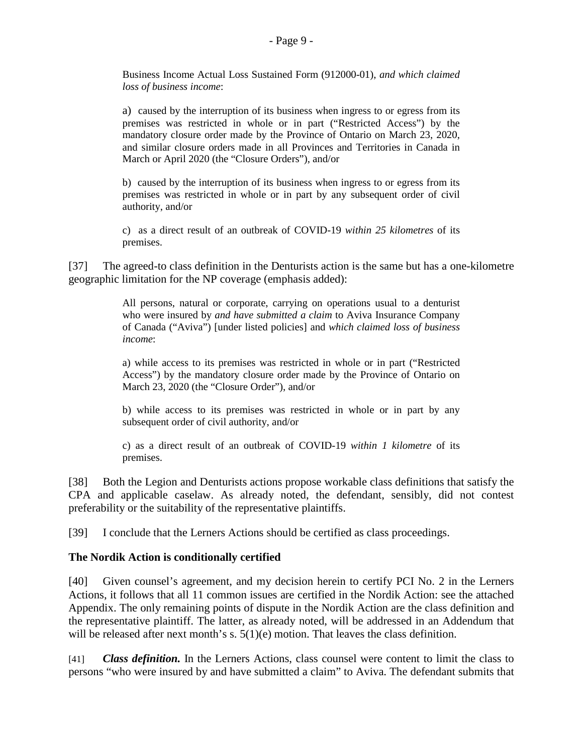Business Income Actual Loss Sustained Form (912000-01), *and which claimed loss of business income*:

a) caused by the interruption of its business when ingress to or egress from its premises was restricted in whole or in part ("Restricted Access") by the mandatory closure order made by the Province of Ontario on March 23, 2020, and similar closure orders made in all Provinces and Territories in Canada in March or April 2020 (the "Closure Orders"), and/or

b) caused by the interruption of its business when ingress to or egress from its premises was restricted in whole or in part by any subsequent order of civil authority, and/or

c) as a direct result of an outbreak of COVID-19 *within 25 kilometres* of its premises.

[37] The agreed-to class definition in the Denturists action is the same but has a one-kilometre geographic limitation for the NP coverage (emphasis added):

> All persons, natural or corporate, carrying on operations usual to a denturist who were insured by *and have submitted a claim* to Aviva Insurance Company of Canada ("Aviva") [under listed policies] and *which claimed loss of business income*:

> a) while access to its premises was restricted in whole or in part ("Restricted Access") by the mandatory closure order made by the Province of Ontario on March 23, 2020 (the "Closure Order"), and/or

> b) while access to its premises was restricted in whole or in part by any subsequent order of civil authority, and/or

> c) as a direct result of an outbreak of COVID-19 *within 1 kilometre* of its premises.

[38] Both the Legion and Denturists actions propose workable class definitions that satisfy the CPA and applicable caselaw. As already noted, the defendant, sensibly, did not contest preferability or the suitability of the representative plaintiffs.

[39] I conclude that the Lerners Actions should be certified as class proceedings.

## **The Nordik Action is conditionally certified**

[40] Given counsel's agreement, and my decision herein to certify PCI No. 2 in the Lerners Actions, it follows that all 11 common issues are certified in the Nordik Action: see the attached Appendix. The only remaining points of dispute in the Nordik Action are the class definition and the representative plaintiff. The latter, as already noted, will be addressed in an Addendum that will be released after next month's s.  $5(1)(e)$  motion. That leaves the class definition.

[41] *Class definition.* In the Lerners Actions, class counsel were content to limit the class to persons "who were insured by and have submitted a claim" to Aviva. The defendant submits that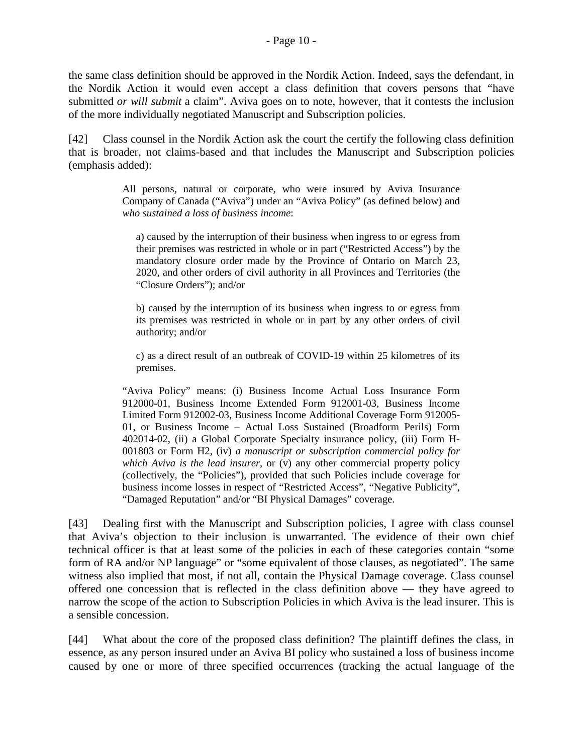the same class definition should be approved in the Nordik Action. Indeed, says the defendant, in the Nordik Action it would even accept a class definition that covers persons that "have submitted *or will submit* a claim". Aviva goes on to note, however, that it contests the inclusion of the more individually negotiated Manuscript and Subscription policies.

[42] Class counsel in the Nordik Action ask the court the certify the following class definition that is broader, not claims-based and that includes the Manuscript and Subscription policies (emphasis added):

> All persons, natural or corporate, who were insured by Aviva Insurance Company of Canada ("Aviva") under an "Aviva Policy" (as defined below) and *who sustained a loss of business income*:

a) caused by the interruption of their business when ingress to or egress from their premises was restricted in whole or in part ("Restricted Access") by the mandatory closure order made by the Province of Ontario on March 23, 2020, and other orders of civil authority in all Provinces and Territories (the "Closure Orders"); and/or

b) caused by the interruption of its business when ingress to or egress from its premises was restricted in whole or in part by any other orders of civil authority; and/or

c) as a direct result of an outbreak of COVID-19 within 25 kilometres of its premises.

"Aviva Policy" means: (i) Business Income Actual Loss Insurance Form 912000-01, Business Income Extended Form 912001-03, Business Income Limited Form 912002-03, Business Income Additional Coverage Form 912005- 01, or Business Income – Actual Loss Sustained (Broadform Perils) Form 402014-02, (ii) a Global Corporate Specialty insurance policy, (iii) Form H-001803 or Form H2, (iv) *a manuscript or subscription commercial policy for which Aviva is the lead insurer*, or (v) any other commercial property policy (collectively, the "Policies"), provided that such Policies include coverage for business income losses in respect of "Restricted Access", "Negative Publicity", "Damaged Reputation" and/or "BI Physical Damages" coverage.

[43] Dealing first with the Manuscript and Subscription policies, I agree with class counsel that Aviva's objection to their inclusion is unwarranted. The evidence of their own chief technical officer is that at least some of the policies in each of these categories contain "some form of RA and/or NP language" or "some equivalent of those clauses, as negotiated". The same witness also implied that most, if not all, contain the Physical Damage coverage. Class counsel offered one concession that is reflected in the class definition above — they have agreed to narrow the scope of the action to Subscription Policies in which Aviva is the lead insurer. This is a sensible concession.

[44] What about the core of the proposed class definition? The plaintiff defines the class, in essence, as any person insured under an Aviva BI policy who sustained a loss of business income caused by one or more of three specified occurrences (tracking the actual language of the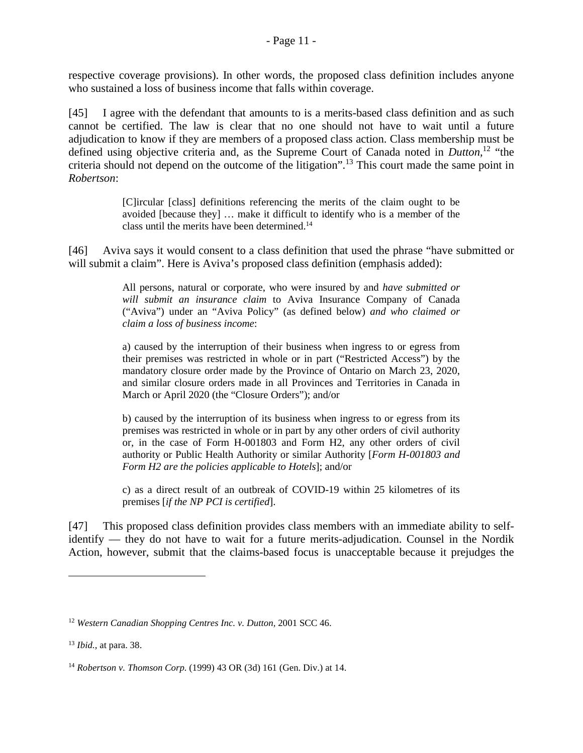respective coverage provisions). In other words, the proposed class definition includes anyone who sustained a loss of business income that falls within coverage.

[45] I agree with the defendant that amounts to is a merits-based class definition and as such cannot be certified. The law is clear that no one should not have to wait until a future adjudication to know if they are members of a proposed class action. Class membership must be defined using objective criteria and, as the Supreme Court of Canada noted in *Dutton,*[12](#page-10-0) "the criteria should not depend on the outcome of the litigation".[13](#page-10-1) This court made the same point in *Robertson*:

> [C]ircular [class] definitions referencing the merits of the claim ought to be avoided [because they] … make it difficult to identify who is a member of the class until the merits have been determined.[14](#page-10-2)

[46] Aviva says it would consent to a class definition that used the phrase "have submitted or will submit a claim". Here is Aviva's proposed class definition (emphasis added):

> All persons, natural or corporate, who were insured by and *have submitted or will submit an insurance claim* to Aviva Insurance Company of Canada ("Aviva") under an "Aviva Policy" (as defined below) *and who claimed or claim a loss of business income*:

> a) caused by the interruption of their business when ingress to or egress from their premises was restricted in whole or in part ("Restricted Access") by the mandatory closure order made by the Province of Ontario on March 23, 2020, and similar closure orders made in all Provinces and Territories in Canada in March or April 2020 (the "Closure Orders"); and/or

> b) caused by the interruption of its business when ingress to or egress from its premises was restricted in whole or in part by any other orders of civil authority or, in the case of Form H-001803 and Form H2, any other orders of civil authority or Public Health Authority or similar Authority [*Form H-001803 and Form H2 are the policies applicable to Hotels*]; and/or

> c) as a direct result of an outbreak of COVID-19 within 25 kilometres of its premises [*if the NP PCI is certified*].

[47] This proposed class definition provides class members with an immediate ability to selfidentify — they do not have to wait for a future merits-adjudication. Counsel in the Nordik Action, however, submit that the claims-based focus is unacceptable because it prejudges the

<span id="page-10-0"></span><sup>&</sup>lt;sup>12</sup> Western Canadian Shopping Centres Inc. v. Dutton, 2001 SCC 46.

<span id="page-10-1"></span><sup>13</sup> *Ibid.,* at para. 38.

<span id="page-10-2"></span><sup>14</sup> *Robertson v. Thomson Corp.* (1999) 43 OR (3d) 161 (Gen. Div.) at 14.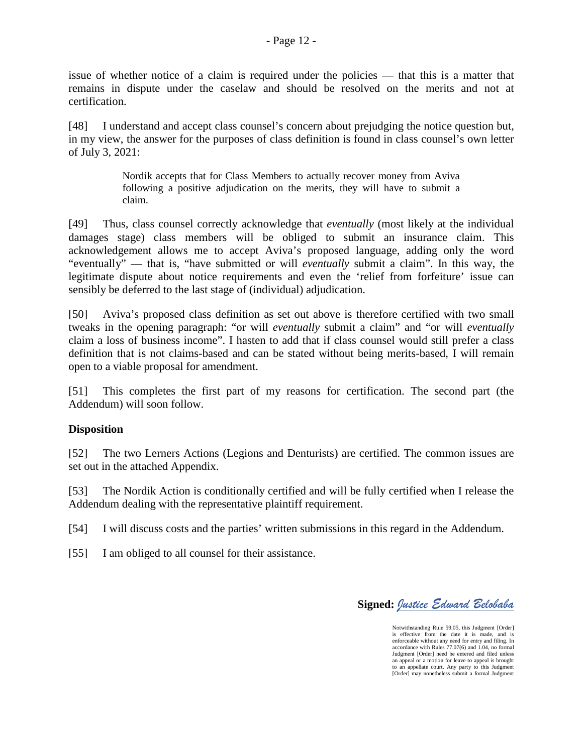issue of whether notice of a claim is required under the policies — that this is a matter that remains in dispute under the caselaw and should be resolved on the merits and not at certification.

[48] I understand and accept class counsel's concern about prejudging the notice question but, in my view, the answer for the purposes of class definition is found in class counsel's own letter of July 3, 2021:

> Nordik accepts that for Class Members to actually recover money from Aviva following a positive adjudication on the merits, they will have to submit a claim.

[49] Thus, class counsel correctly acknowledge that *eventually* (most likely at the individual damages stage) class members will be obliged to submit an insurance claim. This acknowledgement allows me to accept Aviva's proposed language, adding only the word "eventually" — that is, "have submitted or will *eventually* submit a claim". In this way, the legitimate dispute about notice requirements and even the 'relief from forfeiture' issue can sensibly be deferred to the last stage of (individual) adjudication.

[50] Aviva's proposed class definition as set out above is therefore certified with two small tweaks in the opening paragraph: "or will *eventually* submit a claim" and "or will *eventually*  claim a loss of business income". I hasten to add that if class counsel would still prefer a class definition that is not claims-based and can be stated without being merits-based, I will remain open to a viable proposal for amendment.

[51] This completes the first part of my reasons for certification. The second part (the Addendum) will soon follow.

## **Disposition**

[52] The two Lerners Actions (Legions and Denturists) are certified. The common issues are set out in the attached Appendix.

[53] The Nordik Action is conditionally certified and will be fully certified when I release the Addendum dealing with the representative plaintiff requirement.

[54] I will discuss costs and the parties' written submissions in this regard in the Addendum.

[55] I am obliged to all counsel for their assistance.

**Signed:** *Justice Edward Belobaba*

Notwithstanding Rule 59.05, this Judgment [Order] is effective from the date it is made, and is enforceable without any need for entry and filing. In accordance with Rules 77.07(6) and 1.04, no formal Judgment [Order] need be entered and filed unless an appeal or a motion for leave to appeal is brought to an appellate court. Any party to this Judgment [Order] may nonetheless submit a formal Judgment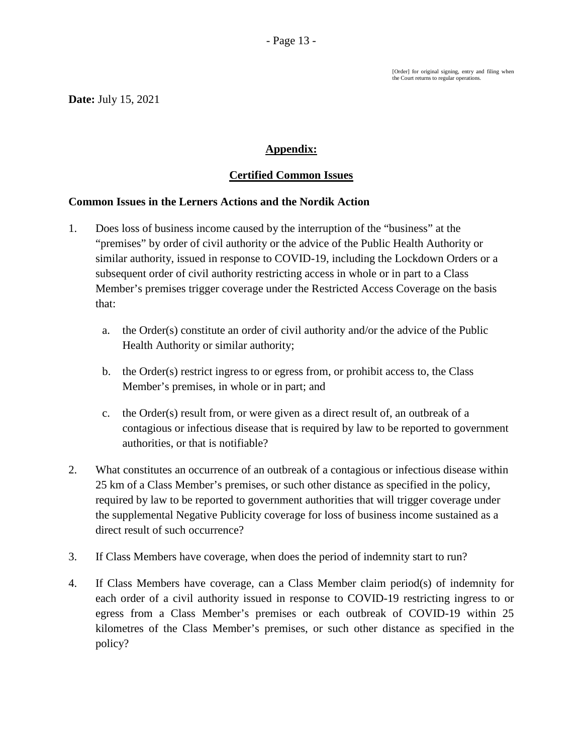[Order] for original signing, entry and filing when the Court returns to regular operations.

# **Appendix:**

# **Certified Common Issues**

## **Common Issues in the Lerners Actions and the Nordik Action**

- 1. Does loss of business income caused by the interruption of the "business" at the "premises" by order of civil authority or the advice of the Public Health Authority or similar authority, issued in response to COVID-19, including the Lockdown Orders or a subsequent order of civil authority restricting access in whole or in part to a Class Member's premises trigger coverage under the Restricted Access Coverage on the basis that:
	- a. the Order(s) constitute an order of civil authority and/or the advice of the Public Health Authority or similar authority;
	- b. the Order(s) restrict ingress to or egress from, or prohibit access to, the Class Member's premises, in whole or in part; and
	- c. the Order(s) result from, or were given as a direct result of, an outbreak of a contagious or infectious disease that is required by law to be reported to government authorities, or that is notifiable?
- 2. What constitutes an occurrence of an outbreak of a contagious or infectious disease within 25 km of a Class Member's premises, or such other distance as specified in the policy, required by law to be reported to government authorities that will trigger coverage under the supplemental Negative Publicity coverage for loss of business income sustained as a direct result of such occurrence?
- 3. If Class Members have coverage, when does the period of indemnity start to run?
- 4. If Class Members have coverage, can a Class Member claim period(s) of indemnity for each order of a civil authority issued in response to COVID-19 restricting ingress to or egress from a Class Member's premises or each outbreak of COVID-19 within 25 kilometres of the Class Member's premises, or such other distance as specified in the policy?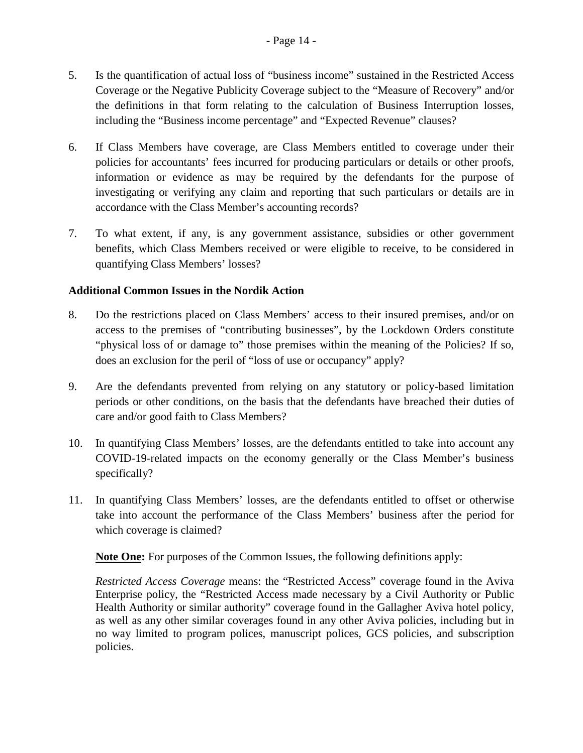- 5. Is the quantification of actual loss of "business income" sustained in the Restricted Access Coverage or the Negative Publicity Coverage subject to the "Measure of Recovery" and/or the definitions in that form relating to the calculation of Business Interruption losses, including the "Business income percentage" and "Expected Revenue" clauses?
- 6. If Class Members have coverage, are Class Members entitled to coverage under their policies for accountants' fees incurred for producing particulars or details or other proofs, information or evidence as may be required by the defendants for the purpose of investigating or verifying any claim and reporting that such particulars or details are in accordance with the Class Member's accounting records?
- 7. To what extent, if any, is any government assistance, subsidies or other government benefits, which Class Members received or were eligible to receive, to be considered in quantifying Class Members' losses?

## **Additional Common Issues in the Nordik Action**

- 8. Do the restrictions placed on Class Members' access to their insured premises, and/or on access to the premises of "contributing businesses", by the Lockdown Orders constitute "physical loss of or damage to" those premises within the meaning of the Policies? If so, does an exclusion for the peril of "loss of use or occupancy" apply?
- 9. Are the defendants prevented from relying on any statutory or policy-based limitation periods or other conditions, on the basis that the defendants have breached their duties of care and/or good faith to Class Members?
- 10. In quantifying Class Members' losses, are the defendants entitled to take into account any COVID-19-related impacts on the economy generally or the Class Member's business specifically?
- 11. In quantifying Class Members' losses, are the defendants entitled to offset or otherwise take into account the performance of the Class Members' business after the period for which coverage is claimed?

**Note One:** For purposes of the Common Issues, the following definitions apply:

*Restricted Access Coverage* means: the "Restricted Access" coverage found in the Aviva Enterprise policy, the "Restricted Access made necessary by a Civil Authority or Public Health Authority or similar authority" coverage found in the Gallagher Aviva hotel policy, as well as any other similar coverages found in any other Aviva policies, including but in no way limited to program polices, manuscript polices, GCS policies, and subscription policies.